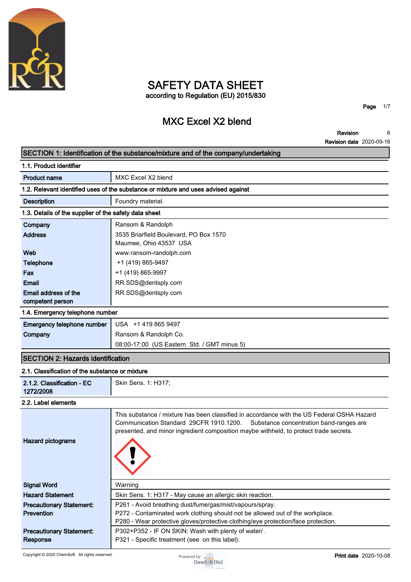

# **SAFETY DATA SHEET according to Regulation (EU) 2015/830**

**MXC Excel X2 blend**

**Page 1/7**

**Revision 6**

# **Revision date 2020-09-16 SECTION 1: Identification of the substance/mixture and of the company/undertaking 1.1. Product identifier Product name** MXC Excel X2 blend **1.2. Relevant identified uses of the substance or mixture and uses advised against Description Foundry material. 1.3. Details of the supplier of the safety data sheet Company Ransom & Randolph Address 3535 Briarfield Boulevard, PO Box 1570 Maumee, Ohio 43537 USA Web www.ransom-randolph.com Telephone**  $+1 (419) 865-9497$ **Fax +1 (419) 865-9997 Email RR.SDS@dentsply.com Email address of the competent person RR.SDS@dentsply.com 1.4. Emergency telephone number Emergency telephone number USA +1 419 865 9497 Company Ransom & Randolph Co. 08:00-17:00 (US Eastern Std. / GMT minus 5) SECTION 2: Hazards identification 2.1. Classification of the substance or mixture 2.1.2. Classification - EC 1272/2008 Skin Sens. 1: H317; 2.2. Label elements This substance / mixture has been classified in accordance with the US Federal OSHA Hazard Communication Standard 29CFR 1910.1200. Substance concentration band-ranges are presented, and minor ingredient composition maybe withheld, to protect trade secrets. Hazard pictograms Signal Word Warning Hazard Statement Skin Sens. 1: H317 - May cause an allergic skin reaction. Precautionary Statement: Prevention P261 - Avoid breathing dust/fume/gas/mist/vapours/spray. P272 - Contaminated work clothing should not be allowed out of the workplace. P280 - Wear protective gloves/protective clothing/eye protection/face protection. Precautionary Statement: Response P302+P352 - IF ON SKIN: Wash with plenty of water/ . P321 - Specific treatment (see on this label).**

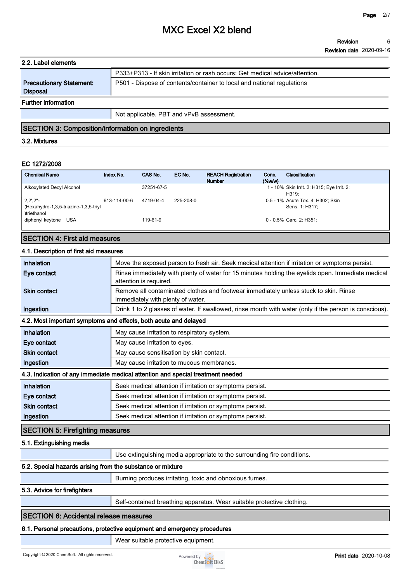| 2.2. Label elements                                |                                                                              |
|----------------------------------------------------|------------------------------------------------------------------------------|
|                                                    | P333+P313 - If skin irritation or rash occurs: Get medical advice/attention. |
| <b>Precautionary Statement:</b><br><b>Disposal</b> | P501 - Dispose of contents/container to local and national regulations       |
| <b>Further information</b>                         |                                                                              |
|                                                    | Not applicable. PBT and vPvB assessment.                                     |

# **SECTION 3: Composition/information on ingredients**

#### **3.2. Mixtures**

### **EC 1272/2008**

| <b>Chemical Name</b>                                                                      | Index No.    | CAS No.    | EC No.    | <b>REACH Registration</b><br><b>Number</b> | Conc.<br>$(\%w/w)$ | Classification                                      |
|-------------------------------------------------------------------------------------------|--------------|------------|-----------|--------------------------------------------|--------------------|-----------------------------------------------------|
| Alkoxylated Decyl Alcohol                                                                 |              | 37251-67-5 |           |                                            |                    | 1 - 10% Skin Irrit. 2: H315; Eye Irrit. 2:<br>H319: |
| $2,2^{\prime},2^{\prime\prime}$ -<br>(Hexahydro-1,3,5-triazine-1,3,5-triyl<br>)triethanol | 613-114-00-6 | 4719-04-4  | 225-208-0 |                                            |                    | 0.5 - 1% Acute Tox. 4: H302; Skin<br>Sens. 1: H317: |
| diphenyl keytone<br>USA                                                                   |              | 119-61-9   |           |                                            |                    | 0 - 0.5% Carc. 2: H351:                             |

### **SECTION 4: First aid measures**

#### **4.1. Description of first aid measures**

| Inhalation                                                 | Move the exposed person to fresh air. Seek medical attention if irritation or symptoms persist.                             |
|------------------------------------------------------------|-----------------------------------------------------------------------------------------------------------------------------|
| Eye contact                                                | Rinse immediately with plenty of water for 15 minutes holding the eyelids open. Immediate medical<br>attention is required. |
| <b>Skin contact</b>                                        | Remove all contaminated clothes and footwear immediately unless stuck to skin. Rinse<br>immediately with plenty of water.   |
| Ingestion                                                  | Drink 1 to 2 glasses of water. If swallowed, rinse mouth with water (only if the person is conscious).                      |
|                                                            | 4.2. Most important symptoms and effects, both acute and delayed                                                            |
| Inhalation                                                 | May cause irritation to respiratory system.                                                                                 |
| Eye contact                                                | May cause irritation to eyes.                                                                                               |
| <b>Skin contact</b>                                        | May cause sensitisation by skin contact.                                                                                    |
| Ingestion                                                  | May cause irritation to mucous membranes.                                                                                   |
|                                                            | 4.3. Indication of any immediate medical attention and special treatment needed                                             |
| Inhalation                                                 | Seek medical attention if irritation or symptoms persist.                                                                   |
| Eye contact                                                | Seek medical attention if irritation or symptoms persist.                                                                   |
| <b>Skin contact</b>                                        | Seek medical attention if irritation or symptoms persist.                                                                   |
| Ingestion                                                  | Seek medical attention if irritation or symptoms persist.                                                                   |
| <b>SECTION 5: Firefighting measures</b>                    |                                                                                                                             |
| 5.1. Extinguishing media                                   |                                                                                                                             |
|                                                            | Use extinguishing media appropriate to the surrounding fire conditions.                                                     |
| 5.2. Special hazards arising from the substance or mixture |                                                                                                                             |
|                                                            | Burning produces irritating, toxic and obnoxious fumes.                                                                     |
| 5.3. Advice for firefighters                               |                                                                                                                             |
|                                                            | Self-contained breathing apparatus. Wear suitable protective clothing.                                                      |

# **SECTION 6: Accidental release measures**

#### **6.1. Personal precautions, protective equipment and emergency procedures**

**Wear suitable protective equipment.**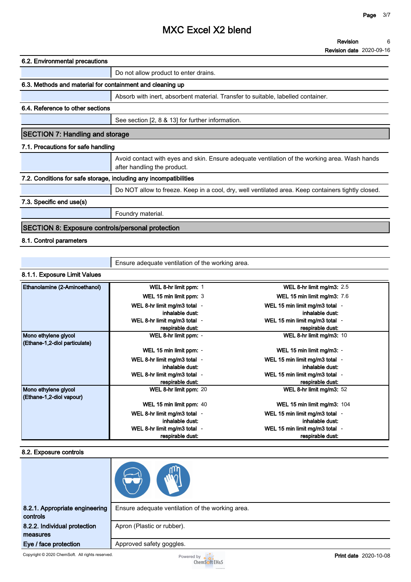**Revision Revision date 2020-09-16 6**

| 6.2. Environmental precautions                                    |                                                                                                                              |
|-------------------------------------------------------------------|------------------------------------------------------------------------------------------------------------------------------|
|                                                                   | Do not allow product to enter drains.                                                                                        |
| 6.3. Methods and material for containment and cleaning up         |                                                                                                                              |
|                                                                   | Absorb with inert, absorbent material. Transfer to suitable, labelled container.                                             |
| 6.4. Reference to other sections                                  |                                                                                                                              |
|                                                                   | See section [2, 8 & 13] for further information.                                                                             |
| <b>SECTION 7: Handling and storage</b>                            |                                                                                                                              |
| 7.1. Precautions for safe handling                                |                                                                                                                              |
|                                                                   | Avoid contact with eyes and skin. Ensure adequate ventilation of the working area. Wash hands<br>after handling the product. |
| 7.2. Conditions for safe storage, including any incompatibilities |                                                                                                                              |
|                                                                   | Do NOT allow to freeze. Keep in a cool, dry, well ventilated area. Keep containers tightly closed.                           |
| 7.3. Specific end use(s)                                          |                                                                                                                              |
|                                                                   | Foundry material.                                                                                                            |
| <b>SECTION 8: Exposure controls/personal protection</b>           |                                                                                                                              |
| $0.1$ Cantral noromators                                          |                                                                                                                              |

# **8.1. Control parameters**

**Ensure adequate ventilation of the working area.**

#### **8.1.1. Exposure Limit Values**

| Ethanolamine (2-Aminoethanol) | WEL 8-hr limit ppm: 1        | WEL 8-hr limit mg/m3: 2.5          |
|-------------------------------|------------------------------|------------------------------------|
|                               | WEL 15 min limit ppm: 3      | <b>WEL 15 min limit mg/m3: 7.6</b> |
|                               | WEL 8-hr limit mg/m3 total - | WEL 15 min limit mg/m3 total -     |
|                               | inhalable dust:              | inhalable dust:                    |
|                               | WEL 8-hr limit mg/m3 total - | WEL 15 min limit mg/m3 total -     |
|                               | respirable dust:             | respirable dust:                   |
| Mono ethylene glycol          | WEL 8-hr limit ppm: -        | WEL 8-hr limit mg/m3: 10           |
| (Ethane-1,2-diol particulate) |                              |                                    |
|                               | WEL 15 min limit ppm: -      | WEL 15 min limit mg/m3: -          |
|                               | WEL 8-hr limit mg/m3 total - | WEL 15 min limit mg/m3 total -     |
|                               | inhalable dust:              | inhalable dust:                    |
|                               | WEL 8-hr limit mg/m3 total - | WEL 15 min limit mg/m3 total -     |
|                               | respirable dust:             | respirable dust:                   |
| Mono ethylene glycol          | WEL 8-hr limit ppm: 20       | WEL 8-hr limit mg/m3: 52           |
| (Ethane-1,2-diol vapour)      |                              |                                    |
|                               | WEL 15 min limit ppm: 40     | WEL 15 min limit mg/m3: 104        |
|                               | WEL 8-hr limit mg/m3 total - | WEL 15 min limit mg/m3 total -     |
|                               | inhalable dust:              | inhalable dust:                    |
|                               | WEL 8-hr limit mg/m3 total - | WEL 15 min limit mg/m3 total -     |
|                               | respirable dust:             | respirable dust:                   |

#### **8.2. Exposure controls**

| 8.2.1. Appropriate engineering<br>controls | Ensure adequate ventilation of the working area. |
|--------------------------------------------|--------------------------------------------------|
| 8.2.2. Individual protection               | Apron (Plastic or rubber).                       |
| measures                                   |                                                  |
| Eye / face protection                      | Approved safety goggles.                         |

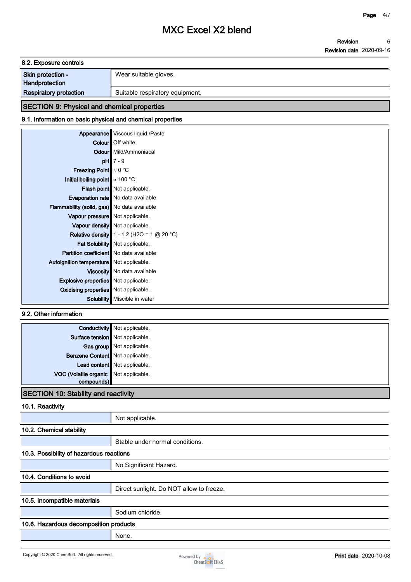| 8.2. Exposure controls |                       |
|------------------------|-----------------------|
| Skin protection -      | Wear suitable gloves. |
| Handprotection         |                       |

# **Respiratory protection** | Suitable respiratory equipment.

# **SECTION 9: Physical and chemical properties**

# **9.1. Information on basic physical and chemical properties**

| Appearance                                         | Viscous liquid./Paste                               |
|----------------------------------------------------|-----------------------------------------------------|
|                                                    | Colour   Off white                                  |
|                                                    | <b>Odour</b> Mild/Ammoniacal                        |
|                                                    | $pH$ 7 - 9                                          |
| <b>Freezing Point</b> $\approx 0$ °C               |                                                     |
| Initial boiling point $\approx 100$ °C             |                                                     |
|                                                    | Flash point   Not applicable.                       |
|                                                    | <b>Evaporation rate</b> No data available           |
| <b>Flammability (solid, gas)</b> No data available |                                                     |
| Vapour pressure Not applicable.                    |                                                     |
|                                                    | Vapour density   Not applicable.                    |
|                                                    | <b>Relative density</b> $1 - 1.2$ (H2O = 1 @ 20 °C) |
|                                                    | Fat Solubility   Not applicable.                    |
| <b>Partition coefficient</b> No data available     |                                                     |
| Autoignition temperature Not applicable.           |                                                     |
|                                                    | Viscosity   No data available                       |
| <b>Explosive properties</b> Not applicable.        |                                                     |
| <b>Oxidising properties</b> Not applicable.        |                                                     |
| Solubility                                         | Miscible in water                                   |

### **9.2. Other information**

| Surface tension Not applicable.<br>Gas group Not applicable.<br>Benzene Content Not applicable.<br>Lead content Not applicable.<br>VOC (Volatile organic Not applicable.<br>$compounds\parallel$ | <b>Conductivity</b> Not applicable. |
|--------------------------------------------------------------------------------------------------------------------------------------------------------------------------------------------------|-------------------------------------|
|                                                                                                                                                                                                  |                                     |
|                                                                                                                                                                                                  |                                     |
|                                                                                                                                                                                                  |                                     |
|                                                                                                                                                                                                  |                                     |
|                                                                                                                                                                                                  |                                     |
|                                                                                                                                                                                                  |                                     |

### **SECTION 10: Stability and reactivity**

### **10.1. Reactivity**

|                                          | Not applicable.                          |  |
|------------------------------------------|------------------------------------------|--|
| 10.2. Chemical stability                 |                                          |  |
|                                          | Stable under normal conditions.          |  |
| 10.3. Possibility of hazardous reactions |                                          |  |
|                                          | No Significant Hazard.                   |  |
| 10.4. Conditions to avoid                |                                          |  |
|                                          | Direct sunlight. Do NOT allow to freeze. |  |
| 10.5. Incompatible materials             |                                          |  |
|                                          | Sodium chloride.                         |  |
| 10.6. Hazardous decomposition products   |                                          |  |
|                                          | None.                                    |  |

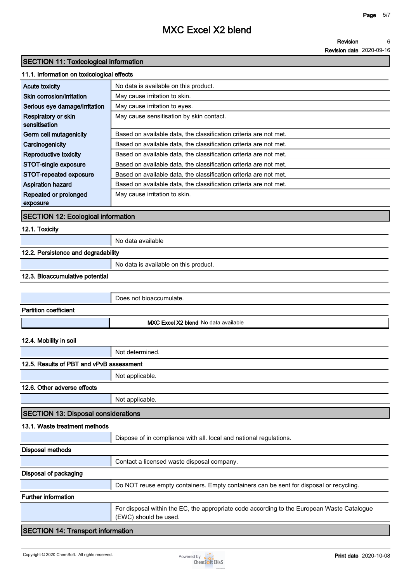#### **Revision 6**

**Revision date 2020-09-16**

### **SECTION 11: Toxicological information**

#### **11.1. Information on toxicological effects**

| <b>Acute toxicity</b>         | No data is available on this product.                             |
|-------------------------------|-------------------------------------------------------------------|
| Skin corrosion/irritation     | May cause irritation to skin.                                     |
| Serious eye damage/irritation | May cause irritation to eyes.                                     |
| Respiratory or skin           | May cause sensitisation by skin contact.                          |
| sensitisation                 |                                                                   |
| Germ cell mutagenicity        | Based on available data, the classification criteria are not met. |
| Carcinogenicity               | Based on available data, the classification criteria are not met. |
| Reproductive toxicity         | Based on available data, the classification criteria are not met. |
| STOT-single exposure          | Based on available data, the classification criteria are not met. |
| STOT-repeated exposure        | Based on available data, the classification criteria are not met. |
| <b>Aspiration hazard</b>      | Based on available data, the classification criteria are not met. |
| Repeated or prolonged         | May cause irritation to skin.                                     |
| exposure                      |                                                                   |

### **SECTION 12: Ecological information**

#### **12.1. Toxicity**

**No data available**

# **12.2. Persistence and degradability**

|  | No data is available on this product. |
|--|---------------------------------------|
|--|---------------------------------------|

#### **12.3. Bioaccumulative potential**

|                                            | Does not bioaccumulate.                                                                                             |  |  |
|--------------------------------------------|---------------------------------------------------------------------------------------------------------------------|--|--|
| <b>Partition coefficient</b>               |                                                                                                                     |  |  |
|                                            | MXC Excel X2 blend No data available                                                                                |  |  |
| 12.4. Mobility in soil                     |                                                                                                                     |  |  |
|                                            | Not determined.                                                                                                     |  |  |
| 12.5. Results of PBT and vPvB assessment   |                                                                                                                     |  |  |
|                                            | Not applicable.                                                                                                     |  |  |
| 12.6. Other adverse effects                |                                                                                                                     |  |  |
|                                            | Not applicable.                                                                                                     |  |  |
| <b>SECTION 13: Disposal considerations</b> |                                                                                                                     |  |  |
| 13.1. Waste treatment methods              |                                                                                                                     |  |  |
|                                            | Dispose of in compliance with all. local and national regulations.                                                  |  |  |
| <b>Disposal methods</b>                    |                                                                                                                     |  |  |
|                                            | Contact a licensed waste disposal company.                                                                          |  |  |
| Disposal of packaging                      |                                                                                                                     |  |  |
|                                            | Do NOT reuse empty containers. Empty containers can be sent for disposal or recycling.                              |  |  |
| <b>Further information</b>                 |                                                                                                                     |  |  |
|                                            | For disposal within the EC, the appropriate code according to the European Waste Catalogue<br>(EWC) should be used. |  |  |
| <b>SECTION 14: Transport information</b>   |                                                                                                                     |  |  |

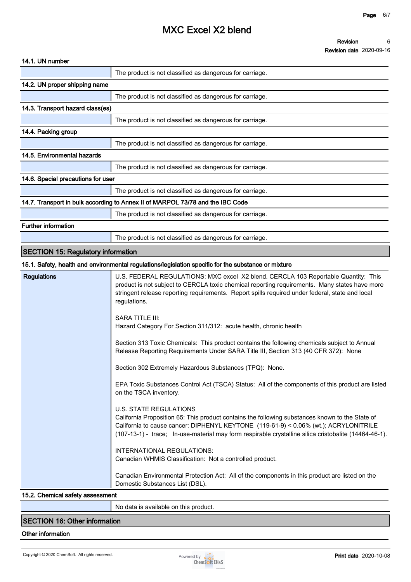#### **Revision 6**

| <b>Revision date 2020-09-16</b> |  |
|---------------------------------|--|
|---------------------------------|--|

| The product is not classified as dangerous for carriage.<br>14.2. UN proper shipping name<br>The product is not classified as dangerous for carriage.<br>14.3. Transport hazard class(es)<br>The product is not classified as dangerous for carriage.<br>14.4. Packing group<br>The product is not classified as dangerous for carriage.<br>14.5. Environmental hazards<br>The product is not classified as dangerous for carriage.<br>14.6. Special precautions for user<br>The product is not classified as dangerous for carriage.<br>14.7. Transport in bulk according to Annex II of MARPOL 73/78 and the IBC Code<br>The product is not classified as dangerous for carriage.<br><b>Further information</b><br>The product is not classified as dangerous for carriage.<br><b>SECTION 15: Regulatory information</b><br>15.1. Safety, health and environmental regulations/legislation specific for the substance or mixture<br><b>Regulations</b><br>U.S. FEDERAL REGULATIONS: MXC excel X2 blend. CERCLA 103 Reportable Quantity: This<br>product is not subject to CERCLA toxic chemical reporting requirements. Many states have more<br>stringent release reporting requirements. Report spills required under federal, state and local<br>regulations.<br><b>SARA TITLE III:</b><br>Hazard Category For Section 311/312: acute health, chronic health<br>Section 313 Toxic Chemicals: This product contains the following chemicals subject to Annual<br>Release Reporting Requirements Under SARA Title III, Section 313 (40 CFR 372): None | 14.1. UN number |                                                                                                       |
|----------------------------------------------------------------------------------------------------------------------------------------------------------------------------------------------------------------------------------------------------------------------------------------------------------------------------------------------------------------------------------------------------------------------------------------------------------------------------------------------------------------------------------------------------------------------------------------------------------------------------------------------------------------------------------------------------------------------------------------------------------------------------------------------------------------------------------------------------------------------------------------------------------------------------------------------------------------------------------------------------------------------------------------------------------------------------------------------------------------------------------------------------------------------------------------------------------------------------------------------------------------------------------------------------------------------------------------------------------------------------------------------------------------------------------------------------------------------------------------------------------------------------------------------------------|-----------------|-------------------------------------------------------------------------------------------------------|
|                                                                                                                                                                                                                                                                                                                                                                                                                                                                                                                                                                                                                                                                                                                                                                                                                                                                                                                                                                                                                                                                                                                                                                                                                                                                                                                                                                                                                                                                                                                                                          |                 |                                                                                                       |
|                                                                                                                                                                                                                                                                                                                                                                                                                                                                                                                                                                                                                                                                                                                                                                                                                                                                                                                                                                                                                                                                                                                                                                                                                                                                                                                                                                                                                                                                                                                                                          |                 |                                                                                                       |
|                                                                                                                                                                                                                                                                                                                                                                                                                                                                                                                                                                                                                                                                                                                                                                                                                                                                                                                                                                                                                                                                                                                                                                                                                                                                                                                                                                                                                                                                                                                                                          |                 |                                                                                                       |
|                                                                                                                                                                                                                                                                                                                                                                                                                                                                                                                                                                                                                                                                                                                                                                                                                                                                                                                                                                                                                                                                                                                                                                                                                                                                                                                                                                                                                                                                                                                                                          |                 |                                                                                                       |
|                                                                                                                                                                                                                                                                                                                                                                                                                                                                                                                                                                                                                                                                                                                                                                                                                                                                                                                                                                                                                                                                                                                                                                                                                                                                                                                                                                                                                                                                                                                                                          |                 |                                                                                                       |
|                                                                                                                                                                                                                                                                                                                                                                                                                                                                                                                                                                                                                                                                                                                                                                                                                                                                                                                                                                                                                                                                                                                                                                                                                                                                                                                                                                                                                                                                                                                                                          |                 |                                                                                                       |
|                                                                                                                                                                                                                                                                                                                                                                                                                                                                                                                                                                                                                                                                                                                                                                                                                                                                                                                                                                                                                                                                                                                                                                                                                                                                                                                                                                                                                                                                                                                                                          |                 |                                                                                                       |
|                                                                                                                                                                                                                                                                                                                                                                                                                                                                                                                                                                                                                                                                                                                                                                                                                                                                                                                                                                                                                                                                                                                                                                                                                                                                                                                                                                                                                                                                                                                                                          |                 |                                                                                                       |
|                                                                                                                                                                                                                                                                                                                                                                                                                                                                                                                                                                                                                                                                                                                                                                                                                                                                                                                                                                                                                                                                                                                                                                                                                                                                                                                                                                                                                                                                                                                                                          |                 |                                                                                                       |
|                                                                                                                                                                                                                                                                                                                                                                                                                                                                                                                                                                                                                                                                                                                                                                                                                                                                                                                                                                                                                                                                                                                                                                                                                                                                                                                                                                                                                                                                                                                                                          |                 |                                                                                                       |
|                                                                                                                                                                                                                                                                                                                                                                                                                                                                                                                                                                                                                                                                                                                                                                                                                                                                                                                                                                                                                                                                                                                                                                                                                                                                                                                                                                                                                                                                                                                                                          |                 |                                                                                                       |
|                                                                                                                                                                                                                                                                                                                                                                                                                                                                                                                                                                                                                                                                                                                                                                                                                                                                                                                                                                                                                                                                                                                                                                                                                                                                                                                                                                                                                                                                                                                                                          |                 |                                                                                                       |
|                                                                                                                                                                                                                                                                                                                                                                                                                                                                                                                                                                                                                                                                                                                                                                                                                                                                                                                                                                                                                                                                                                                                                                                                                                                                                                                                                                                                                                                                                                                                                          |                 |                                                                                                       |
|                                                                                                                                                                                                                                                                                                                                                                                                                                                                                                                                                                                                                                                                                                                                                                                                                                                                                                                                                                                                                                                                                                                                                                                                                                                                                                                                                                                                                                                                                                                                                          |                 |                                                                                                       |
|                                                                                                                                                                                                                                                                                                                                                                                                                                                                                                                                                                                                                                                                                                                                                                                                                                                                                                                                                                                                                                                                                                                                                                                                                                                                                                                                                                                                                                                                                                                                                          |                 |                                                                                                       |
|                                                                                                                                                                                                                                                                                                                                                                                                                                                                                                                                                                                                                                                                                                                                                                                                                                                                                                                                                                                                                                                                                                                                                                                                                                                                                                                                                                                                                                                                                                                                                          |                 |                                                                                                       |
|                                                                                                                                                                                                                                                                                                                                                                                                                                                                                                                                                                                                                                                                                                                                                                                                                                                                                                                                                                                                                                                                                                                                                                                                                                                                                                                                                                                                                                                                                                                                                          |                 |                                                                                                       |
| Section 302 Extremely Hazardous Substances (TPQ): None<br>EPA Toxic Substances Control Act (TSCA) Status: All of the components of this product are listed<br>on the TSCA inventory.<br><b>U.S. STATE REGULATIONS</b><br>California Proposition 65: This product contains the following substances known to the State of<br>California to cause cancer: DIPHENYL KEYTONE (119-61-9) < 0.06% (wt.); ACRYLONITRILE<br>INTERNATIONAL REGULATIONS:<br>Canadian WHMIS Classification: Not a controlled product.<br>Canadian Environmental Protection Act: All of the components in this product are listed on the                                                                                                                                                                                                                                                                                                                                                                                                                                                                                                                                                                                                                                                                                                                                                                                                                                                                                                                                             |                 | (107-13-1) - trace; In-use-material may form respirable crystalline silica cristobalite (14464-46-1). |

#### **15.2. Chemical safety assessment**

**No data is available on this product.**

### **SECTION 16: Other information**

#### **Other information**